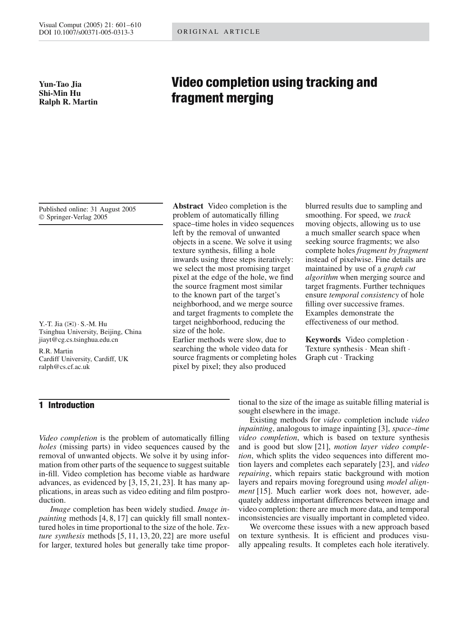**Yun-Tao Jia Shi-Min Hu Ralph R. Martin**

# **Video completion using tracking and fragment merging**

Published online: 31 August 2005 © Springer-Verlag 2005

Y.-T. Jia (✉)· S.-M. Hu Tsinghua University, Beijing, China jiayt@cg.cs.tsinghua.edu.cn

R.R. Martin Cardiff University, Cardiff, UK ralph@cs.cf.ac.uk

# **1 Introduction**

*Video completion* is the problem of automatically filling *holes* (missing parts) in video sequences caused by the removal of unwanted objects. We solve it by using information from other parts of the sequence to suggest suitable in-fill. Video completion has become viable as hardware advances, as evidenced by [3, 15, 21, 23]. It has many applications, in areas such as video editing and film postproduction.

*Image* completion has been widely studied. *Image inpainting* methods [4, 8, 17] can quickly fill small nontextured holes in time proportional to the size of the hole. *Texture synthesis* methods [5, 11, 13, 20, 22] are more useful for larger, textured holes but generally take time propor-

**Abstract** Video completion is the problem of automatically filling space–time holes in video sequences left by the removal of unwanted objects in a scene. We solve it using texture synthesis, filling a hole inwards using three steps iteratively: we select the most promising target pixel at the edge of the hole, we find the source fragment most similar to the known part of the target's neighborhood, and we merge source and target fragments to complete the target neighborhood, reducing the size of the hole.

Earlier methods were slow, due to searching the whole video data for source fragments or completing holes pixel by pixel; they also produced

blurred results due to sampling and smoothing. For speed, we *track* moving objects, allowing us to use a much smaller search space when seeking source fragments; we also complete holes *fragment by fragment* instead of pixelwise. Fine details are maintained by use of a *graph cut algorithm* when merging source and target fragments. Further techniques ensure *temporal consistency* of hole filling over successive frames. Examples demonstrate the effectiveness of our method.

**Keywords** Video completion · Texture synthesis · Mean shift · Graph cut · Tracking

tional to the size of the image as suitable filling material is sought elsewhere in the image.

Existing methods for *video* completion include *video inpainting*, analogous to image inpainting [3], *space–time video completion*, which is based on texture synthesis and is good but slow [21], *motion layer video completion*, which splits the video sequences into different motion layers and completes each separately [23], and *video repairing*, which repairs static background with motion layers and repairs moving foreground using *model alignment* [15]. Much earlier work does not, however, adequately address important differences between image and video completion: there are much more data, and temporal inconsistencies are visually important in completed video.

We overcome these issues with a new approach based on texture synthesis. It is efficient and produces visually appealing results. It completes each hole iteratively.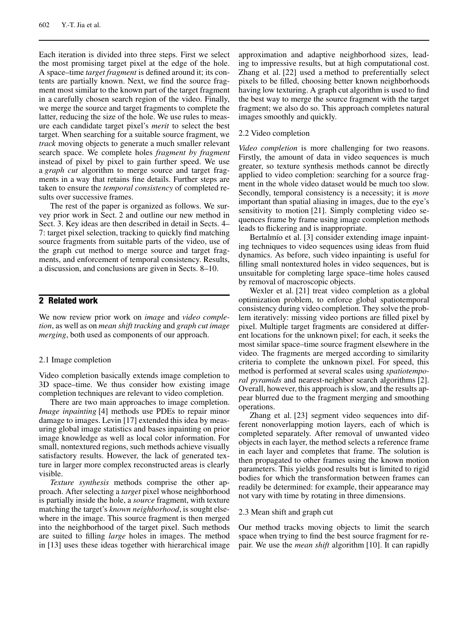Each iteration is divided into three steps. First we select the most promising target pixel at the edge of the hole. A space–time *target fragment* is defined around it; its contents are partially known. Next, we find the source fragment most similar to the known part of the target fragment in a carefully chosen search region of the video. Finally, we merge the source and target fragments to complete the latter, reducing the size of the hole. We use rules to measure each candidate target pixel's *merit* to select the best target. When searching for a suitable source fragment, we *track* moving objects to generate a much smaller relevant search space. We complete holes *fragment by fragment* instead of pixel by pixel to gain further speed. We use a *graph cut* algorithm to merge source and target fragments in a way that retains fine details. Further steps are taken to ensure the *temporal consistency* of completed results over successive frames.

The rest of the paper is organized as follows. We survey prior work in Sect. 2 and outline our new method in Sect. 3. Key ideas are then described in detail in Sects. 4– 7: target pixel selection, tracking to quickly find matching source fragments from suitable parts of the video, use of the graph cut method to merge source and target fragments, and enforcement of temporal consistency. Results, a discussion, and conclusions are given in Sects. 8–10.

# **2 Related work**

We now review prior work on *image* and *video completion*, as well as on *mean shift tracking* and *graph cut image merging*, both used as components of our approach.

### 2.1 Image completion

Video completion basically extends image completion to 3D space–time. We thus consider how existing image completion techniques are relevant to video completion.

There are two main approaches to image completion. *Image inpainting* [4] methods use PDEs to repair minor damage to images. Levin [17] extended this idea by measuring global image statistics and bases inpainting on prior image knowledge as well as local color information. For small, nontextured regions, such methods achieve visually satisfactory results. However, the lack of generated texture in larger more complex reconstructed areas is clearly visible.

*Texture synthesis* methods comprise the other approach. After selecting a *target* pixel whose neighborhood is partially inside the hole, a *source* fragment, with texture matching the target's *known neighborhood*, is sought elsewhere in the image. This source fragment is then merged into the neighborhood of the target pixel. Such methods are suited to filling *large* holes in images. The method in [13] uses these ideas together with hierarchical image approximation and adaptive neighborhood sizes, leading to impressive results, but at high computational cost. Zhang et al. [22] used a method to preferentially select pixels to be filled, choosing better known neighborhoods having low texturing. A graph cut algorithm is used to find the best way to merge the source fragment with the target fragment; we also do so. This approach completes natural images smoothly and quickly.

### 2.2 Video completion

*Video completion* is more challenging for two reasons. Firstly, the amount of data in video sequences is much greater, so texture synthesis methods cannot be directly applied to video completion: searching for a source fragment in the whole video dataset would be much too slow. Secondly, temporal consistency is a necessity; it is *more* important than spatial aliasing in images, due to the eye's sensitivity to motion [21]. Simply completing video sequences frame by frame using image completion methods leads to flickering and is inappropriate.

Bertalmío et al. [3] consider extending image inpainting techniques to video sequences using ideas from fluid dynamics. As before, such video inpainting is useful for filling small nontextured holes in video sequences, but is unsuitable for completing large space–time holes caused by removal of macroscopic objects.

Wexler et al. [21] treat video completion as a global optimization problem, to enforce global spatiotemporal consistency during video completion. They solve the problem iteratively: missing video portions are filled pixel by pixel. Multiple target fragments are considered at different locations for the unknown pixel; for each, it seeks the most similar space–time source fragment elsewhere in the video. The fragments are merged according to similarity criteria to complete the unknown pixel. For speed, this method is performed at several scales using *spatiotemporal pyramids* and nearest-neighbor search algorithms [2]. Overall, however, this approach is slow, and the results appear blurred due to the fragment merging and smoothing operations.

Zhang et al. [23] segment video sequences into different nonoverlapping motion layers, each of which is completed separately. After removal of unwanted video objects in each layer, the method selects a reference frame in each layer and completes that frame. The solution is then propagated to other frames using the known motion parameters. This yields good results but is limited to rigid bodies for which the transformation between frames can readily be determined: for example, their appearance may not vary with time by rotating in three dimensions.

#### 2.3 Mean shift and graph cut

Our method tracks moving objects to limit the search space when trying to find the best source fragment for repair. We use the *mean shift* algorithm [10]. It can rapidly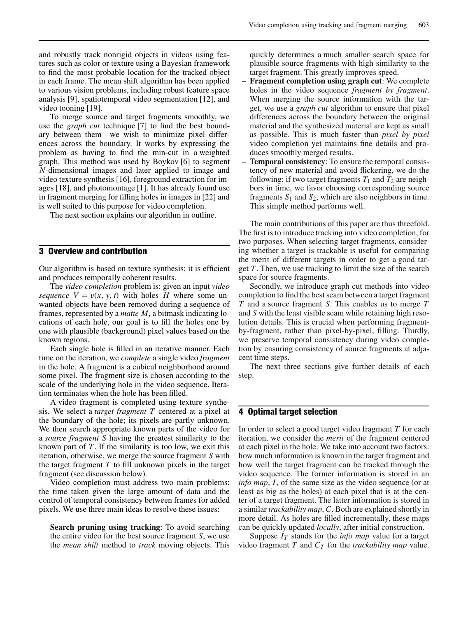and robustly track nonrigid objects in videos using features such as color or texture using a Bayesian framework to find the most probable location for the tracked object in each frame. The mean shift algorithm has been applied to various vision problems, including robust feature space analysis [9], spatiotemporal video segmentation [12], and video tooning [19].

To merge source and target fragments smoothly, we use the *graph cut* technique [7] to find the best boundary between them—we wish to minimize pixel differences across the boundary. It works by expressing the problem as having to find the min-cut in a weighted graph. This method was used by Boykov [6] to segment *N*-dimensional images and later applied to image and video texture synthesis [16], foreground extraction for images [18], and photomontage [1]. It has already found use in fragment merging for filling holes in images in [22] and is well suited to this purpose for video completion.

The next section explains our algorithm in outline.

### **3 Overview and contribution**

Our algorithm is based on texture synthesis; it is efficient and produces temporally coherent results.

The *video completion* problem is: given an input *video sequence*  $V = v(x, y, t)$  with holes *H* where some unwanted objects have been removed during a sequence of frames, represented by a *matte M*, a bitmask indicating locations of each hole, our goal is to fill the holes one by one with plausible (background) pixel values based on the known regions.

Each single hole is filled in an iterative manner. Each time on the iteration, we *complete* a single video *fragment* in the hole. A fragment is a cubical neighborhood around some pixel. The fragment size is chosen according to the scale of the underlying hole in the video sequence. Iteration terminates when the hole has been filled.

A video fragment is completed using texture synthesis. We select a *target fragment T* centered at a pixel at the boundary of the hole; its pixels are partly unknown. We then search appropriate known parts of the video for a *source fragment S* having the greatest similarity to the known part of *T*. If the similarity is too low, we exit this iteration, otherwise, we merge the source fragment *S* with the target fragment *T* to fill unknown pixels in the target fragment (see discussion below).

Video completion must address two main problems: the time taken given the large amount of data and the control of temporal consistency between frames for added pixels. We use three main ideas to resolve these issues:

– **Search pruning using tracking**: To avoid searching the entire video for the best source fragment *S*, we use the *mean shift* method to *track* moving objects. This quickly determines a much smaller search space for plausible source fragments with high similarity to the target fragment. This greatly improves speed.

- **Fragment completion using graph cut:** We complete holes in the video sequence *fragment by fragment*. When merging the source information with the target, we use a *graph cut* algorithm to ensure that pixel differences across the boundary between the original material and the synthesized material are kept as small as possible. This is much faster than *pixel by pixel* video completion yet maintains fine details and produces smoothly merged results.
- **Temporal consistency**: To ensure the temporal consistency of new material and avoid flickering, we do the following: if two target fragments  $T_1$  and  $T_2$  are neighbors in time, we favor choosing corresponding source fragments  $S_1$  and  $S_2$ , which are also neighbors in time. This simple method performs well.

The main contributions of this paper are thus threefold. The first is to introduce tracking into video completion, for two purposes. When selecting target fragments, considering whether a target is trackable is useful for comparing the merit of different targets in order to get a good target *T*. Then, we use tracking to limit the size of the search space for source fragments.

Secondly, we introduce graph cut methods into video completion to find the best seam between a target fragment *T* and a source fragment *S*. This enables us to merge *T* and *S* with the least visible seam while retaining high resolution details. This is crucial when performing fragmentby-fragment, rather than pixel-by-pixel, filling. Thirdly, we preserve temporal consistency during video completion by ensuring consistency of source fragments at adjacent time steps.

The next three sections give further details of each step.

### **4 Optimal target selection**

In order to select a good target video fragment *T* for each iteration, we consider the *merit* of the fragment centered at each pixel in the hole. We take into account two factors: how much information is known in the target fragment and how well the target fragment can be tracked through the video sequence. The former information is stored in an *info map*, *I*, of the same size as the video sequence (or at least as big as the holes) at each pixel that is at the center of a target fragment. The latter information is stored in a similar *trackability map*, *C*. Both are explained shortly in more detail. As holes are filled incrementally, these maps can be quickly updated *locally*, after initial construction.

Suppose  $I_T$  stands for the *info map* value for a target video fragment  $T$  and  $C_T$  for the *trackability map* value.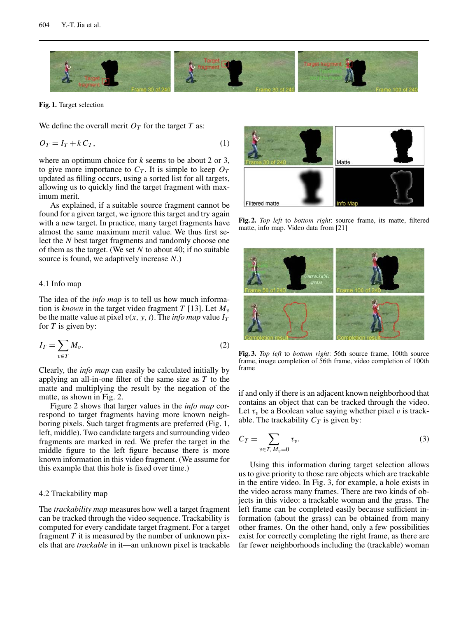

**Fig. 1.** Target selection

We define the overall merit  $O_T$  for the target *T* as:

$$
O_T = I_T + k C_T, \tag{1}
$$

where an optimum choice for *k* seems to be about 2 or 3, to give more importance to  $C_T$ . It is simple to keep  $O_T$ updated as filling occurs, using a sorted list for all targets, allowing us to quickly find the target fragment with maximum merit.

As explained, if a suitable source fragment cannot be found for a given target, we ignore this target and try again with a new target. In practice, many target fragments have almost the same maximum merit value. We thus first select the *N* best target fragments and randomly choose one of them as the target. (We set *N* to about 40; if no suitable source is found, we adaptively increase *N*.)

#### 4.1 Info map

The idea of the *info map* is to tell us how much information is *known* in the target video fragment *T* [13]. Let  $M_v$ be the matte value at pixel  $v(x, y, t)$ . The *info map* value  $I_T$ for *T* is given by:

$$
I_T = \sum_{v \in T} M_v. \tag{2}
$$

Clearly, the *info map* can easily be calculated initially by applying an all-in-one filter of the same size as *T* to the matte and multiplying the result by the negation of the matte, as shown in Fig. 2.

Figure 2 shows that larger values in the *info map* correspond to target fragments having more known neighboring pixels. Such target fragments are preferred (Fig. 1, left, middle). Two candidate targets and surrounding video fragments are marked in red. We prefer the target in the middle figure to the left figure because there is more known information in this video fragment. (We assume for this example that this hole is fixed over time.)

### 4.2 Trackability map

The *trackability map* measures how well a target fragment can be tracked through the video sequence. Trackability is computed for every candidate target fragment. For a target fragment *T* it is measured by the number of unknown pixels that are *trackable* in it—an unknown pixel is trackable



**Fig. 2.** *Top left* to *bottom right*: source frame, its matte, filtered matte, info map. Video data from [21]



**Fig. 3.** *Top left* to *bottom right*: 56th source frame, 100th source frame, image completion of 56th frame, video completion of 100th frame

if and only if there is an adjacent known neighborhood that contains an object that can be tracked through the video. Let  $\tau_v$  be a Boolean value saying whether pixel v is trackable. The trackability  $C_T$  is given by:

$$
C_T = \sum_{v \in T, M_v = 0} \tau_v.
$$
\n<sup>(3)</sup>

Using this information during target selection allows us to give priority to those rare objects which are trackable in the entire video. In Fig. 3, for example, a hole exists in the video across many frames. There are two kinds of objects in this video: a trackable woman and the grass. The left frame can be completed easily because sufficient information (about the grass) can be obtained from many other frames. On the other hand, only a few possibilities exist for correctly completing the right frame, as there are far fewer neighborhoods including the (trackable) woman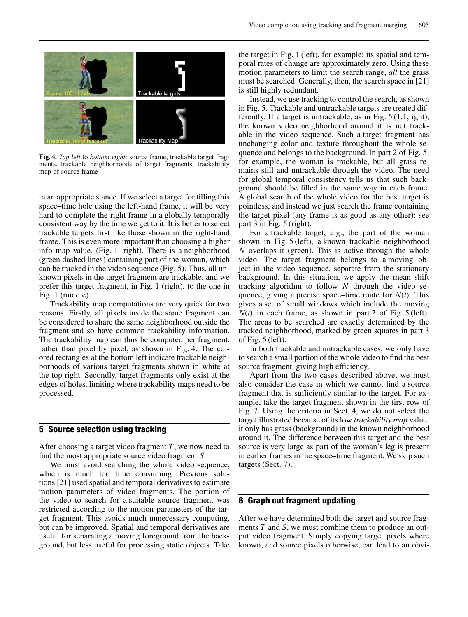

**Fig. 4.** *Top left* to *bottom right*: source frame, trackable target fragments, trackable neighborhoods of target fragments, trackability map of source frame

in an appropriate stance. If we select a target for filling this space–time hole using the left-hand frame, it will be very hard to complete the right frame in a globally temporally consistent way by the time we get to it. It is better to select trackable targets first like those shown in the right-hand frame. This is even more important than choosing a higher info map value. (Fig. 1, right). There is a neighborhood (green dashed lines) containing part of the woman, which can be tracked in the video sequence (Fig. 5). Thus, all unknown pixels in the target fragment are trackable, and we prefer this target fragment, in Fig. 1 (right), to the one in Fig. 1 (middle).

Trackability map computations are very quick for two reasons. Firstly, all pixels inside the same fragment can be considered to share the same neighborhood outside the fragment and so have common trackability information. The trackability map can thus be computed per fragment, rather than pixel by pixel, as shown in Fig. 4. The colored rectangles at the bottom left indicate trackable neighborhoods of various target fragments shown in white at the top right. Secondly, target fragments only exist at the edges of holes, limiting where trackability maps need to be processed.

### **5 Source selection using tracking**

After choosing a target video fragment *T*, we now need to find the most appropriate source video fragment *S*.

We must avoid searching the whole video sequence, which is much too time consuming. Previous solutions [21] used spatial and temporal derivatives to estimate motion parameters of video fragments. The portion of the video to search for a suitable source fragment was restricted according to the motion parameters of the target fragment. This avoids much unnecessary computing, but can be improved. Spatial and temporal derivatives are useful for separating a moving foreground from the background, but less useful for processing static objects. Take

the target in Fig. 1 (left), for example: its spatial and temporal rates of change are approximately zero. Using these motion parameters to limit the search range, *all* the grass must be searched. Generally, then, the search space in [21] is still highly redundant.

Instead, we use tracking to control the search, as shown in Fig. 5. Trackable and untrackable targets are treated differently. If a target is untrackable, as in Fig. 5 (1.1,right), the known video neighborhood around it is not trackable in the video sequence. Such a target fragment has unchanging color and texture throughout the whole sequence and belongs to the background. In part 2 of Fig. 5, for example, the woman is trackable, but all grass remains still and untrackable through the video. The need for global temporal consistency tells us that such background should be filled in the same way in each frame. A global search of the whole video for the best target is pointless, and instead we just search the frame containing the target pixel (any frame is as good as any other): see part 3 in Fig. 5 (right).

For a trackable target, e.g., the part of the woman shown in Fig. 5 (left), a known trackable neighborhood *N* overlaps it (green). This is active through the whole video. The target fragment belongs to a moving object in the video sequence, separate from the stationary background. In this situation, we apply the mean shift tracking algorithm to follow *N* through the video sequence, giving a precise space–time route for *N*(*t*). This gives a set of small windows which include the moving  $N(t)$  in each frame, as shown in part 2 of Fig. 5 (left). The areas to be searched are exactly determined by the tracked neighborhood, marked by green squares in part 3 of Fig. 5 (left).

In both trackable and untrackable cases, we only have to search a small portion of the whole video to find the best source fragment, giving high efficiency.

Apart from the two cases described above, we must also consider the case in which we cannot find a source fragment that is sufficiently similar to the target. For example, take the target fragment shown in the first row of Fig. 7. Using the criteria in Sect. 4, we do not select the target illustrated because of its low *trackability map* value: it only has grass (background) in the known neighborhood around it. The difference between this target and the best source is very large as part of the woman's leg is present in earlier frames in the space–time fragment. We skip such targets (Sect. 7).

# **6 Graph cut fragment updating**

After we have determined both the target and source fragments *T* and *S*, we must combine them to produce an output video fragment. Simply copying target pixels where known, and source pixels otherwise, can lead to an obvi-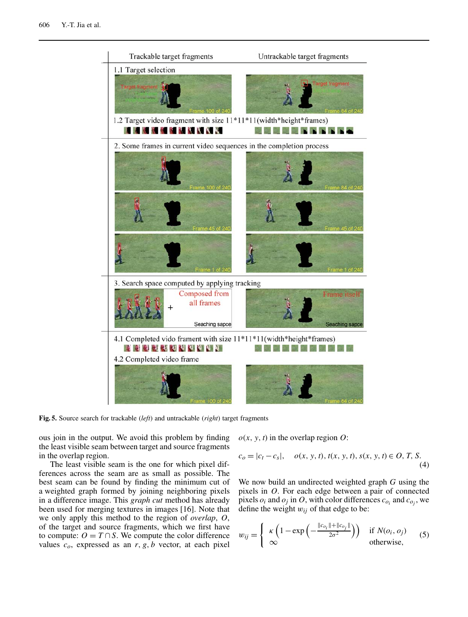

**Fig. 5.** Source search for trackable (*left*) and untrackable (*right*) target fragments

ous join in the output. We avoid this problem by finding the least visible seam between target and source fragments in the overlap region.

The least visible seam is the one for which pixel differences across the seam are as small as possible. The best seam can be found by finding the minimum cut of a weighted graph formed by joining neighboring pixels in a difference image. This *graph cut* method has already been used for merging textures in images [16]. Note that we only apply this method to the region of *overlap*, *O*, of the target and source fragments, which we first have to compute:  $O = T \cap S$ . We compute the color difference values  $c_0$ , expressed as an  $r$ ,  $g$ ,  $b$  vector, at each pixel  $o(x, y, t)$  in the overlap region  $O$ :

$$
c_0 = |c_t - c_s|, \quad o(x, y, t), t(x, y, t), s(x, y, t) \in O, T, S.
$$
\n(4)

We now build an undirected weighted graph *G* using the pixels in *O*. For each edge between a pair of connected pixels  $o_i$  and  $o_j$  in O, with color differences  $c_{o_i}$  and  $c_{o_j}$ , we define the weight  $w_{ij}$  of that edge to be:

$$
w_{ij} = \begin{cases} \kappa \left( 1 - \exp \left( - \frac{\|c_{o_i}\| + \|c_{o_j}\|}{2\sigma^2} \right) \right) & \text{if } N(o_i, o_j) \\ \infty & \text{otherwise,} \end{cases}
$$
 (5)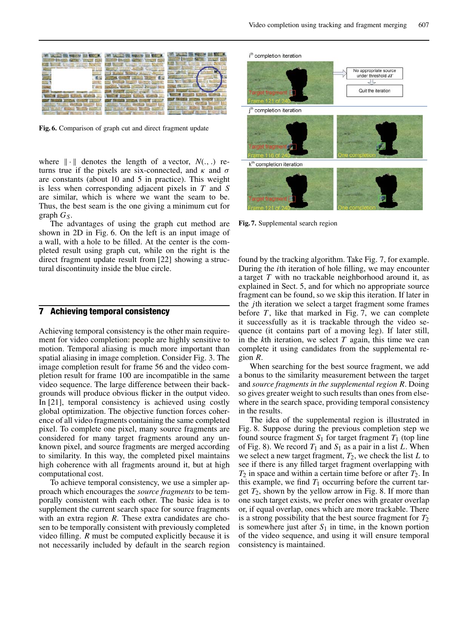

**Fig. 6.** Comparison of graph cut and direct fragment update

where  $\|\cdot\|$  denotes the length of a vector,  $N(.,.)$  returns true if the pixels are six-connected, and  $\kappa$  and  $\sigma$ are constants (about 10 and 5 in practice). This weight is less when corresponding adjacent pixels in *T* and *S* are similar, which is where we want the seam to be. Thus, the best seam is the one giving a minimum cut for graph  $G<sub>S</sub>$ .

The advantages of using the graph cut method are shown in 2D in Fig. 6. On the left is an input image of a wall, with a hole to be filled. At the center is the completed result using graph cut, while on the right is the direct fragment update result from [22] showing a structural discontinuity inside the blue circle.

### **7 Achieving temporal consistency**

Achieving temporal consistency is the other main requirement for video completion: people are highly sensitive to motion. Temporal aliasing is much more important than spatial aliasing in image completion. Consider Fig. 3. The image completion result for frame 56 and the video completion result for frame 100 are incompatible in the same video sequence. The large difference between their backgrounds will produce obvious flicker in the output video. In [21], temporal consistency is achieved using costly global optimization. The objective function forces coherence of all video fragments containing the same completed pixel. To complete one pixel, many source fragments are considered for many target fragments around any unknown pixel, and source fragments are merged according to similarity. In this way, the completed pixel maintains high coherence with all fragments around it, but at high computational cost.

To achieve temporal consistency, we use a simpler approach which encourages the *source fragments* to be temporally consistent with each other. The basic idea is to supplement the current search space for source fragments with an extra region *R*. These extra candidates are chosen to be temporally consistent with previously completed video filling. *R* must be computed explicitly because it is not necessarily included by default in the search region



**Fig. 7.** Supplemental search region

found by the tracking algorithm. Take Fig. 7, for example. During the *i*th iteration of hole filling, we may encounter a target *T* with no trackable neighborhood around it, as explained in Sect. 5, and for which no appropriate source fragment can be found, so we skip this iteration. If later in the *j*th iteration we select a target fragment some frames before *T*, like that marked in Fig. 7, we can complete it successfully as it is trackable through the video sequence (it contains part of a moving leg). If later still, in the *k*th iteration, we select *T* again, this time we can complete it using candidates from the supplemental region *R*.

When searching for the best source fragment, we add a bonus to the similarity measurement between the target and *source fragments in the supplemental region R*. Doing so gives greater weight to such results than ones from elsewhere in the search space, providing temporal consistency in the results.

The idea of the supplemental region is illustrated in Fig. 8. Suppose during the previous completion step we found source fragment  $S_1$  for target fragment  $T_1$  (top line of Fig. 8). We record  $T_1$  and  $S_1$  as a pair in a list *L*. When we select a new target fragment,  $T_2$ , we check the list  $L$  to see if there is any filled target fragment overlapping with *T*<sup>2</sup> in space and within a certain time before or after *T*2. In this example, we find  $T_1$  occurring before the current target  $T_2$ , shown by the yellow arrow in Fig. 8. If more than one such target exists, we prefer ones with greater overlap or, if equal overlap, ones which are more trackable. There is a strong possibility that the best source fragment for  $T_2$ is somewhere just after  $S_1$  in time, in the known portion of the video sequence, and using it will ensure temporal consistency is maintained.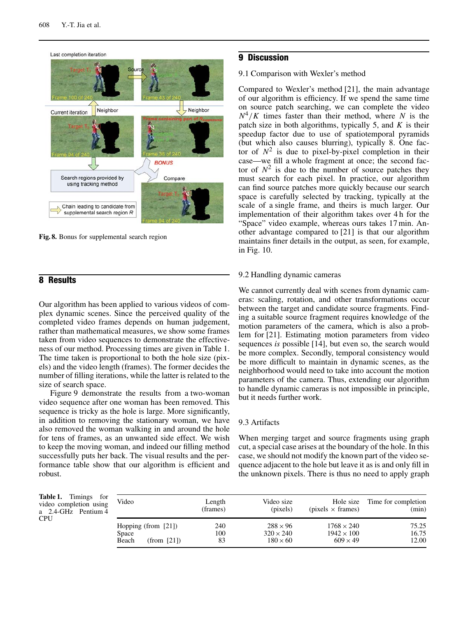

**Fig. 8.** Bonus for supplemental search region

# **8 Results**

Our algorithm has been applied to various videos of complex dynamic scenes. Since the perceived quality of the completed video frames depends on human judgement, rather than mathematical measures, we show some frames taken from video sequences to demonstrate the effectiveness of our method. Processing times are given in Table 1. The time taken is proportional to both the hole size (pixels) and the video length (frames). The former decides the number of filling iterations, while the latter is related to the size of search space.

Figure 9 demonstrate the results from a two-woman video sequence after one woman has been removed. This sequence is tricky as the hole is large. More significantly, in addition to removing the stationary woman, we have also removed the woman walking in and around the hole for tens of frames, as an unwanted side effect. We wish to keep the moving woman, and indeed our filling method successfully puts her back. The visual results and the performance table show that our algorithm is efficient and robust.

## **9 Discussion**

### 9.1 Comparison with Wexler's method

Compared to Wexler's method [21], the main advantage of our algorithm is efficiency. If we spend the same time on source patch searching, we can complete the video  $N^4/K$  times faster than their method, where *N* is the patch size in both algorithms, typically 5, and *K* is their speedup factor due to use of spatiotemporal pyramids (but which also causes blurring), typically 8. One factor of  $N^2$  is due to pixel-by-pixel completion in their case—we fill a whole fragment at once; the second factor of  $N^2$  is due to the number of source patches they must search for each pixel. In practice, our algorithm can find source patches more quickly because our search space is carefully selected by tracking, typically at the scale of a single frame, and theirs is much larger. Our implementation of their algorithm takes over 4 h for the "Space" video example, whereas ours takes 17 min. Another advantage compared to [21] is that our algorithm maintains finer details in the output, as seen, for example, in Fig. 10.

### 9.2 Handling dynamic cameras

We cannot currently deal with scenes from dynamic cameras: scaling, rotation, and other transformations occur between the target and candidate source fragments. Finding a suitable source fragment requires knowledge of the motion parameters of the camera, which is also a problem for [21]. Estimating motion parameters from video sequences *is* possible [14], but even so, the search would be more complex. Secondly, temporal consistency would be more difficult to maintain in dynamic scenes, as the neighborhood would need to take into account the motion parameters of the camera. Thus, extending our algorithm to handle dynamic cameras is not impossible in principle, but it needs further work.

### 9.3 Artifacts

When merging target and source fragments using graph cut, a special case arises at the boundary of the hole. In this case, we should not modify the known part of the video sequence adjacent to the hole but leave it as is and only fill in the unknown pixels. There is thus no need to apply graph

**Table 1.** Timings for video completion using a 2.4-GHz Pentium 4 **CPU** 

| Video                                                   | Length           | Video size                                             | Hole size                                                 | Time for completion     |
|---------------------------------------------------------|------------------|--------------------------------------------------------|-----------------------------------------------------------|-------------------------|
|                                                         | (frames)         | (pixels)                                               | $(pixels \times frames)$                                  | (min)                   |
| Hopping (from $[21]$ )<br>Space<br>(from [21])<br>Beach | 240<br>100<br>83 | $288 \times 96$<br>$320 \times 240$<br>$180 \times 60$ | $1768 \times 240$<br>$1942 \times 100$<br>$609 \times 49$ | 75.25<br>16.75<br>12.00 |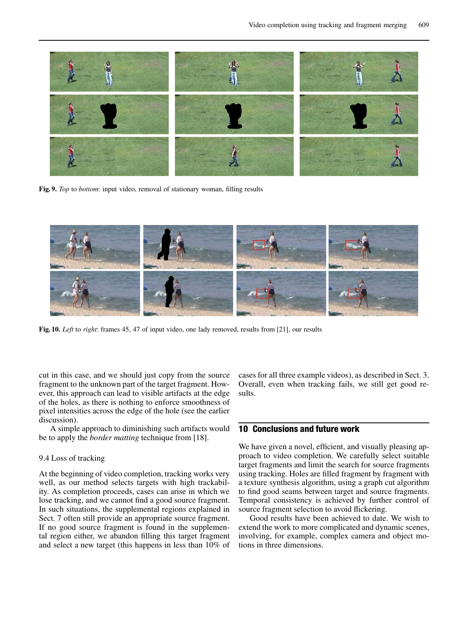

**Fig. 9.** *Top* to *bottom*: input video, removal of stationary woman, filling results



**Fig. 10.** *Left* to *right*: frames 45, 47 of input video, one lady removed, results from [21], our results

cut in this case, and we should just copy from the source fragment to the unknown part of the target fragment. However, this approach can lead to visible artifacts at the edge of the holes, as there is nothing to enforce smoothness of pixel intensities across the edge of the hole (see the earlier discussion).

A simple approach to diminishing such artifacts would be to apply the *border matting* technique from [18].

### 9.4 Loss of tracking

At the beginning of video completion, tracking works very well, as our method selects targets with high trackability. As completion proceeds, cases can arise in which we lose tracking, and we cannot find a good source fragment. In such situations, the supplemental regions explained in Sect. 7 often still provide an appropriate source fragment. If no good source fragment is found in the supplemental region either, we abandon filling this target fragment and select a new target (this happens in less than 10% of cases for all three example videos), as described in Sect. 3. Overall, even when tracking fails, we still get good results.

# **10 Conclusions and future work**

We have given a novel, efficient, and visually pleasing approach to video completion. We carefully select suitable target fragments and limit the search for source fragments using tracking. Holes are filled fragment by fragment with a texture synthesis algorithm, using a graph cut algorithm to find good seams between target and source fragments. Temporal consistency is achieved by further control of source fragment selection to avoid flickering.

Good results have been achieved to date. We wish to extend the work to more complicated and dynamic scenes, involving, for example, complex camera and object motions in three dimensions.